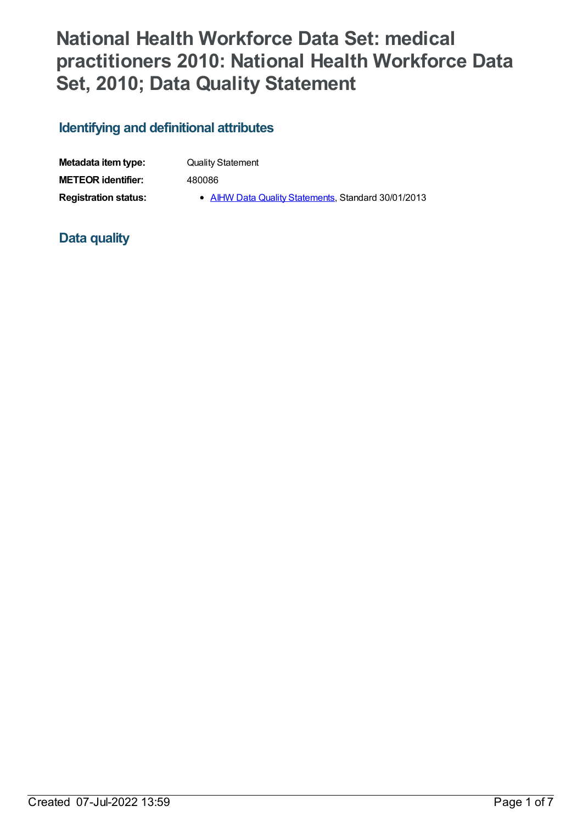# **National Health Workforce Data Set: medical practitioners 2010: National Health Workforce Data Set, 2010; Data Quality Statement**

## **Identifying and definitional attributes**

| Metadata item type:         | <b>Quality Statement</b>                            |
|-----------------------------|-----------------------------------------------------|
| <b>METEOR</b> identifier:   | 480086                                              |
| <b>Registration status:</b> | • AIHW Data Quality Statements, Standard 30/01/2013 |

### **Data quality**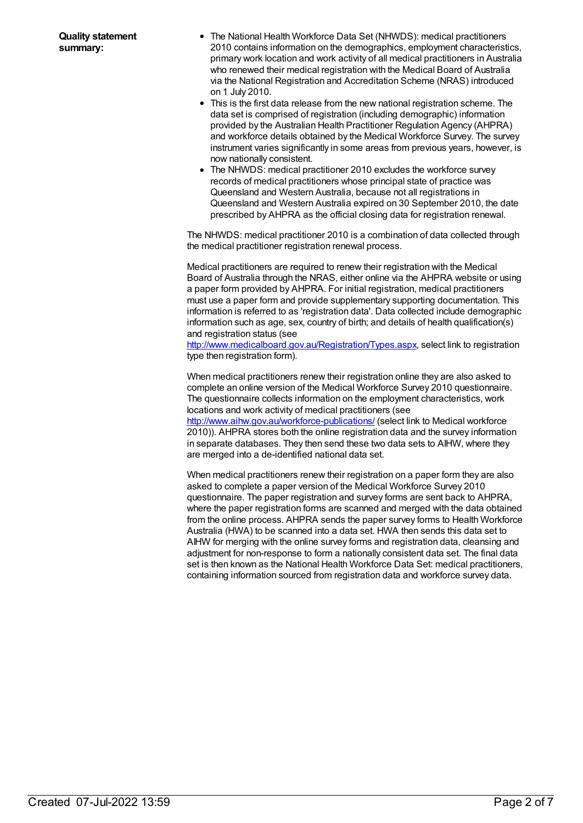- The National Health Workforce Data Set (NHWDS): medical practitioners 2010 contains information on the demographics, employment characteristics, primary work location and work activity of all medical practitioners in Australia who renewed their medical registration with the Medical Board of Australia via the National Registration and Accreditation Scheme (NRAS) introduced on 1 July 2010.
- This is the first data release from the new national registration scheme. The data set is comprised of registration (including demographic) information provided by the Australian Health Practitioner Regulation Agency (AHPRA) and workforce details obtained by the Medical Workforce Survey. The survey instrument varies significantly in some areas from previous years, however, is now nationally consistent.
- The NHWDS: medical practitioner 2010 excludes the workforce survey records of medical practitioners whose principal state of practice was Queensland and Western Australia, because not all registrations in Queensland and Western Australia expired on 30 September 2010, the date prescribed by AHPRA as the official closing data for registration renewal.

The NHWDS: medical practitioner 2010 is a combination of data collected through the medical practitioner registration renewal process.

Medical practitioners are required to renew their registration with the Medical Board of Australia through the NRAS, either online via the AHPRA website or using a paper form provided by AHPRA. For initial registration, medical practitioners must use a paper form and provide supplementary supporting documentation. This information is referred to as 'registration data'. Data collected include demographic information such as age, sex, country of birth; and details of health qualification(s) and registration status (see

<http://www.medicalboard.gov.au/Registration/Types.aspx>, select link to registration type then registration form).

When medical practitioners renew their registration online they are also asked to complete an online version of the Medical Workforce Survey 2010 questionnaire. The questionnaire collects information on the employment characteristics, work locations and work activity of medical practitioners (see

<http://www.aihw.gov.au/workforce-publications/> (select link to Medical workforce 2010)). AHPRA stores both the online registration data and the survey information in separate databases. They then send these two data sets to AIHW, where they are merged into a de-identified national data set.

When medical practitioners renew their registration on a paper form they are also asked to complete a paper version of the Medical Workforce Survey 2010 questionnaire. The paper registration and survey forms are sent back to AHPRA, where the paper registration forms are scanned and merged with the data obtained from the online process. AHPRA sends the paper survey forms to Health Workforce Australia (HWA) to be scanned into a data set. HWA then sends this data set to AIHW for merging with the online survey forms and registration data, cleansing and adjustment for non-response to form a nationally consistent data set. The final data set is then known as the National Health Workforce Data Set: medical practitioners, containing information sourced from registration data and workforce survey data.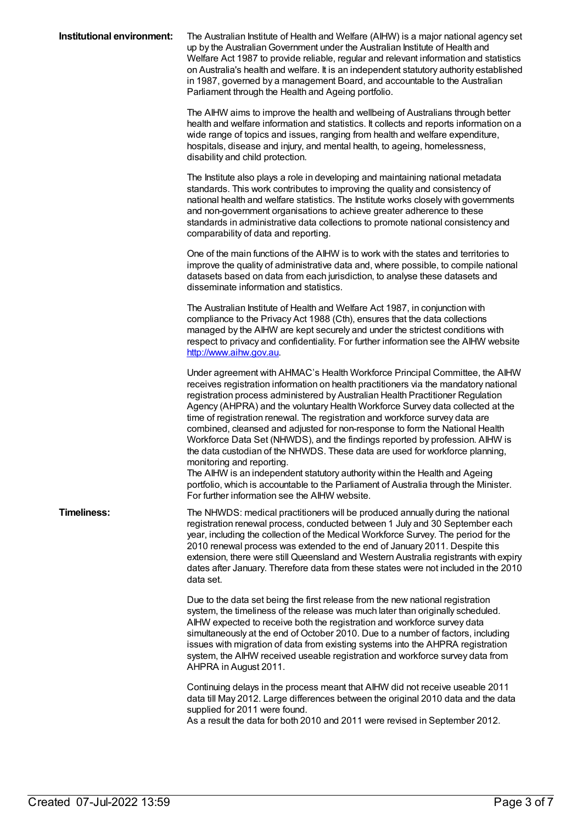| Institutional environment: | The Australian Institute of Health and Welfare (AIHW) is a major national agency set<br>up by the Australian Government under the Australian Institute of Health and<br>Welfare Act 1987 to provide reliable, regular and relevant information and statistics<br>on Australia's health and welfare. It is an independent statutory authority established<br>in 1987, governed by a management Board, and accountable to the Australian<br>Parliament through the Health and Ageing portfolio.                                                                                                                                                                                                                                                                                       |
|----------------------------|-------------------------------------------------------------------------------------------------------------------------------------------------------------------------------------------------------------------------------------------------------------------------------------------------------------------------------------------------------------------------------------------------------------------------------------------------------------------------------------------------------------------------------------------------------------------------------------------------------------------------------------------------------------------------------------------------------------------------------------------------------------------------------------|
|                            | The AIHW aims to improve the health and wellbeing of Australians through better<br>health and welfare information and statistics. It collects and reports information on a<br>wide range of topics and issues, ranging from health and welfare expenditure,<br>hospitals, disease and injury, and mental health, to ageing, homelessness,<br>disability and child protection.                                                                                                                                                                                                                                                                                                                                                                                                       |
|                            | The Institute also plays a role in developing and maintaining national metadata<br>standards. This work contributes to improving the quality and consistency of<br>national health and welfare statistics. The Institute works closely with governments<br>and non-government organisations to achieve greater adherence to these<br>standards in administrative data collections to promote national consistency and<br>comparability of data and reporting.                                                                                                                                                                                                                                                                                                                       |
|                            | One of the main functions of the AIHW is to work with the states and territories to<br>improve the quality of administrative data and, where possible, to compile national<br>datasets based on data from each jurisdiction, to analyse these datasets and<br>disseminate information and statistics.                                                                                                                                                                                                                                                                                                                                                                                                                                                                               |
|                            | The Australian Institute of Health and Welfare Act 1987, in conjunction with<br>compliance to the Privacy Act 1988 (Cth), ensures that the data collections<br>managed by the AIHW are kept securely and under the strictest conditions with<br>respect to privacy and confidentiality. For further information see the AIHW website<br>http://www.aihw.gov.au.                                                                                                                                                                                                                                                                                                                                                                                                                     |
|                            | Under agreement with AHMAC's Health Workforce Principal Committee, the AIHW<br>receives registration information on health practitioners via the mandatory national<br>registration process administered by Australian Health Practitioner Regulation<br>Agency (AHPRA) and the voluntary Health Workforce Survey data collected at the<br>time of registration renewal. The registration and workforce survey data are<br>combined, cleansed and adjusted for non-response to form the National Health<br>Workforce Data Set (NHWDS), and the findings reported by profession. AIHW is<br>the data custodian of the NHWDS. These data are used for workforce planning,<br>monitoring and reporting.<br>The AIHW is an independent statutory authority within the Health and Ageing |
|                            | portfolio, which is accountable to the Parliament of Australia through the Minister.<br>For further information see the AIHW website.                                                                                                                                                                                                                                                                                                                                                                                                                                                                                                                                                                                                                                               |
| <b>Timeliness:</b>         | The NHWDS: medical practitioners will be produced annually during the national<br>registration renewal process, conducted between 1 July and 30 September each<br>year, including the collection of the Medical Workforce Survey. The period for the<br>2010 renewal process was extended to the end of January 2011. Despite this<br>extension, there were still Queensland and Western Australia registrants with expiry<br>dates after January. Therefore data from these states were not included in the 2010<br>data set.                                                                                                                                                                                                                                                      |
|                            | Due to the data set being the first release from the new national registration<br>system, the timeliness of the release was much later than originally scheduled.<br>AIHW expected to receive both the registration and workforce survey data<br>simultaneously at the end of October 2010. Due to a number of factors, including<br>issues with migration of data from existing systems into the AHPRA registration<br>system, the AIHW received useable registration and workforce survey data from<br>AHPRA in August 2011.                                                                                                                                                                                                                                                      |
|                            | Continuing delays in the process meant that AIHW did not receive useable 2011<br>data till May 2012. Large differences between the original 2010 data and the data<br>supplied for 2011 were found.<br>As a result the data for both 2010 and 2011 were revised in September 2012.                                                                                                                                                                                                                                                                                                                                                                                                                                                                                                  |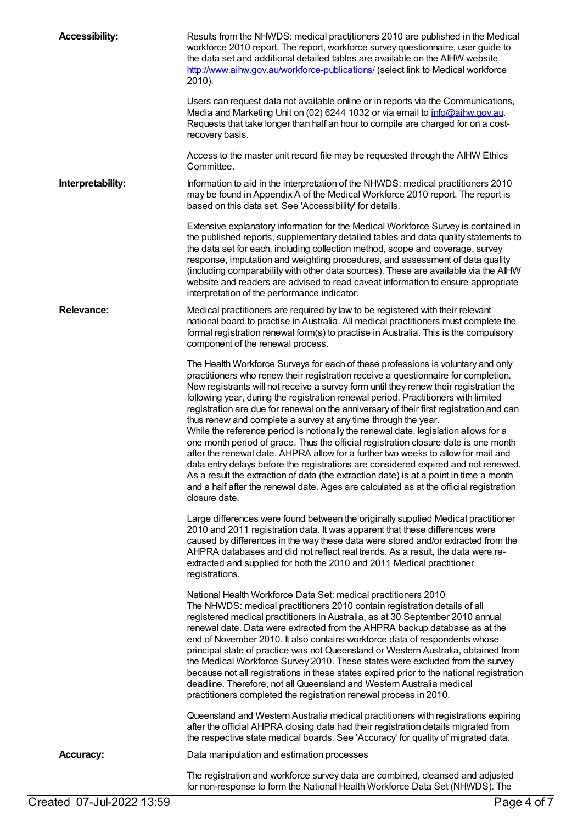| <b>Accessibility:</b> | Results from the NHWDS: medical practitioners 2010 are published in the Medical<br>workforce 2010 report. The report, workforce survey questionnaire, user guide to<br>the data set and additional detailed tables are available on the AIHW website<br>http://www.aihw.gov.au/workforce-publications/ (select link to Medical workforce<br>2010).<br>Users can request data not available online or in reports via the Communications,<br>Media and Marketing Unit on (02) 6244 1032 or via email to info@aihw.gov.au.<br>Requests that take longer than half an hour to compile are charged for on a cost-<br>recovery basis.<br>Access to the master unit record file may be requested through the AIHW Ethics                                                                                                                                                                                                                                                                                                                                                                 |
|-----------------------|-----------------------------------------------------------------------------------------------------------------------------------------------------------------------------------------------------------------------------------------------------------------------------------------------------------------------------------------------------------------------------------------------------------------------------------------------------------------------------------------------------------------------------------------------------------------------------------------------------------------------------------------------------------------------------------------------------------------------------------------------------------------------------------------------------------------------------------------------------------------------------------------------------------------------------------------------------------------------------------------------------------------------------------------------------------------------------------|
|                       | Committee.                                                                                                                                                                                                                                                                                                                                                                                                                                                                                                                                                                                                                                                                                                                                                                                                                                                                                                                                                                                                                                                                        |
| Interpretability:     | Information to aid in the interpretation of the NHWDS: medical practitioners 2010<br>may be found in Appendix A of the Medical Workforce 2010 report. The report is<br>based on this data set. See 'Accessibility' for details.                                                                                                                                                                                                                                                                                                                                                                                                                                                                                                                                                                                                                                                                                                                                                                                                                                                   |
|                       | Extensive explanatory information for the Medical Workforce Survey is contained in<br>the published reports, supplementary detailed tables and data quality statements to<br>the data set for each, including collection method, scope and coverage, survey<br>response, imputation and weighting procedures, and assessment of data quality<br>(including comparability with other data sources). These are available via the AIHW<br>website and readers are advised to read caveat information to ensure appropriate<br>interpretation of the performance indicator.                                                                                                                                                                                                                                                                                                                                                                                                                                                                                                           |
| <b>Relevance:</b>     | Medical practitioners are required by law to be registered with their relevant<br>national board to practise in Australia. All medical practitioners must complete the<br>formal registration renewal form(s) to practise in Australia. This is the compulsory<br>component of the renewal process.                                                                                                                                                                                                                                                                                                                                                                                                                                                                                                                                                                                                                                                                                                                                                                               |
|                       | The Health Workforce Surveys for each of these professions is voluntary and only<br>practitioners who renew their registration receive a questionnaire for completion.<br>New registrants will not receive a survey form until they renew their registration the<br>following year, during the registration renewal period. Practitioners with limited<br>registration are due for renewal on the anniversary of their first registration and can<br>thus renew and complete a survey at any time through the year.<br>While the reference period is notionally the renewal date, legislation allows for a<br>one month period of grace. Thus the official registration closure date is one month<br>after the renewal date. AHPRA allow for a further two weeks to allow for mail and<br>data entry delays before the registrations are considered expired and not renewed.<br>As a result the extraction of data (the extraction date) is at a point in time a month<br>and a half after the renewal date. Ages are calculated as at the official registration<br>closure date. |
|                       | Large differences were found between the originally supplied Medical practitioner<br>2010 and 2011 registration data. It was apparent that these differences were<br>caused by differences in the way these data were stored and/or extracted from the<br>AHPRA databases and did not reflect real trends. As a result, the data were re-<br>extracted and supplied for both the 2010 and 2011 Medical practitioner<br>registrations.                                                                                                                                                                                                                                                                                                                                                                                                                                                                                                                                                                                                                                             |
|                       | National Health Workforce Data Set: medical practitioners 2010<br>The NHWDS: medical practitioners 2010 contain registration details of all<br>registered medical practitioners in Australia, as at 30 September 2010 annual<br>renewal date. Data were extracted from the AHPRA backup database as at the<br>end of November 2010. It also contains workforce data of respondents whose<br>principal state of practice was not Queensland or Western Australia, obtained from<br>the Medical Workforce Survey 2010. These states were excluded from the survey<br>because not all registrations in these states expired prior to the national registration<br>deadline. Therefore, not all Queensland and Western Australia medical<br>practitioners completed the registration renewal process in 2010.                                                                                                                                                                                                                                                                         |
|                       | Queensland and Western Australia medical practitioners with registrations expiring<br>after the official AHPRA closing date had their registration details migrated from<br>the respective state medical boards. See 'Accuracy' for quality of migrated data.                                                                                                                                                                                                                                                                                                                                                                                                                                                                                                                                                                                                                                                                                                                                                                                                                     |
| <b>Accuracy:</b>      | Data manipulation and estimation processes                                                                                                                                                                                                                                                                                                                                                                                                                                                                                                                                                                                                                                                                                                                                                                                                                                                                                                                                                                                                                                        |
|                       | The registration and workforce survey data are combined, cleansed and adjusted<br>for non-response to form the National Health Workforce Data Set (NHWDS). The                                                                                                                                                                                                                                                                                                                                                                                                                                                                                                                                                                                                                                                                                                                                                                                                                                                                                                                    |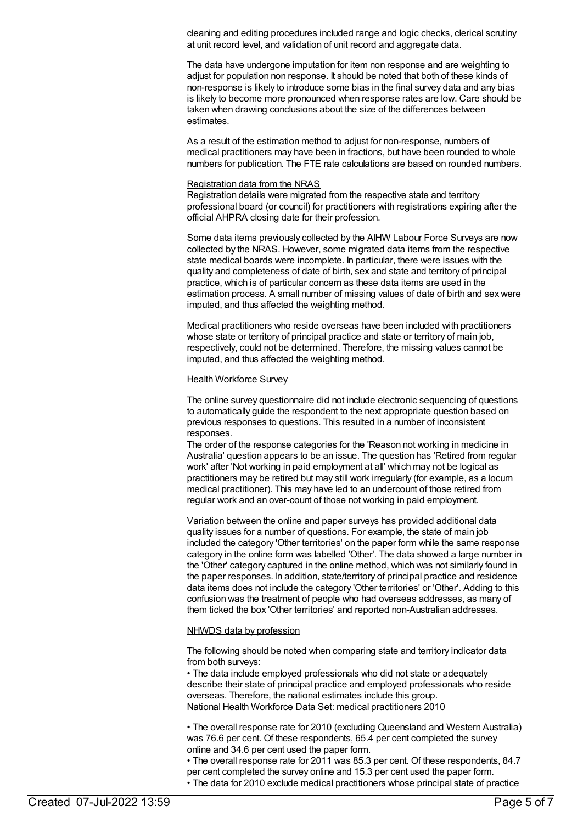cleaning and editing procedures included range and logic checks, clerical scrutiny at unit record level, and validation of unit record and aggregate data.

The data have undergone imputation for item non response and are weighting to adjust for population non response. It should be noted that both of these kinds of non-response is likely to introduce some bias in the final survey data and any bias is likely to become more pronounced when response rates are low. Care should be taken when drawing conclusions about the size of the differences between estimates.

As a result of the estimation method to adjust for non-response, numbers of medical practitioners may have been in fractions, but have been rounded to whole numbers for publication. The FTE rate calculations are based on rounded numbers.

#### Registration data from the NRAS

Registration details were migrated from the respective state and territory professional board (or council) for practitioners with registrations expiring after the official AHPRA closing date for their profession.

Some data items previously collected by the AIHW Labour Force Surveys are now collected by the NRAS. However, some migrated data items from the respective state medical boards were incomplete. In particular, there were issues with the quality and completeness of date of birth, sex and state and territory of principal practice, which is of particular concern as these data items are used in the estimation process. A small number of missing values of date of birth and sex were imputed, and thus affected the weighting method.

Medical practitioners who reside overseas have been included with practitioners whose state or territory of principal practice and state or territory of main job, respectively, could not be determined. Therefore, the missing values cannot be imputed, and thus affected the weighting method.

#### Health Workforce Survey

The online survey questionnaire did not include electronic sequencing of questions to automatically guide the respondent to the next appropriate question based on previous responses to questions. This resulted in a number of inconsistent responses.

The order of the response categories for the 'Reason not working in medicine in Australia' question appears to be an issue. The question has 'Retired from regular work' after 'Not working in paid employment at all' which may not be logical as practitioners may be retired but may still work irregularly (for example, as a locum medical practitioner). This may have led to an undercount of those retired from regular work and an over-count of those not working in paid employment.

Variation between the online and paper surveys has provided additional data quality issues for a number of questions. For example, the state of main job included the category 'Other territories' on the paper form while the same response category in the online form was labelled 'Other'. The data showed a large number in the 'Other' category captured in the online method, which was not similarly found in the paper responses. In addition, state/territory of principal practice and residence data items does not include the category 'Other territories' or 'Other'. Adding to this confusion was the treatment of people who had overseas addresses, as many of them ticked the box 'Other territories' and reported non-Australian addresses.

#### NHWDS data by profession

The following should be noted when comparing state and territory indicator data from both surveys:

• The data include employed professionals who did not state or adequately describe their state of principal practice and employed professionals who reside overseas. Therefore, the national estimates include this group. National Health Workforce Data Set: medical practitioners 2010

• The overall response rate for 2010 (excluding Queensland and Western Australia) was 76.6 per cent. Of these respondents, 65.4 per cent completed the survey online and 34.6 per cent used the paper form.

• The overall response rate for 2011 was 85.3 per cent. Of these respondents, 84.7 per cent completed the survey online and 15.3 per cent used the paper form. • The data for 2010 exclude medical practitioners whose principal state of practice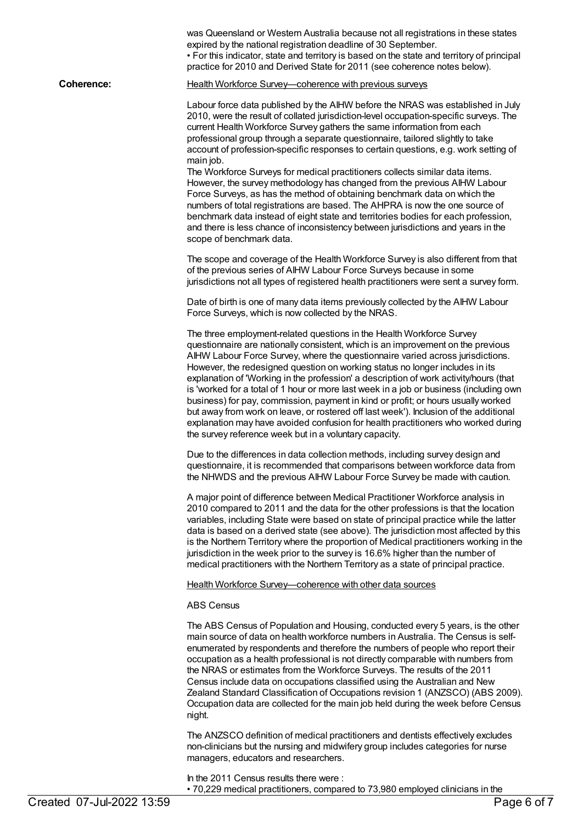|                           | was Queensland or Western Australia because not all registrations in these states<br>expired by the national registration deadline of 30 September.<br>• For this indicator, state and territory is based on the state and territory of principal<br>practice for 2010 and Derived State for 2011 (see coherence notes below).                                                                                                                                                                                                                                                                                                                                                                                                                                                                                                                                                                                                                                          |
|---------------------------|-------------------------------------------------------------------------------------------------------------------------------------------------------------------------------------------------------------------------------------------------------------------------------------------------------------------------------------------------------------------------------------------------------------------------------------------------------------------------------------------------------------------------------------------------------------------------------------------------------------------------------------------------------------------------------------------------------------------------------------------------------------------------------------------------------------------------------------------------------------------------------------------------------------------------------------------------------------------------|
| <b>Coherence:</b>         | Health Workforce Survey-coherence with previous surveys                                                                                                                                                                                                                                                                                                                                                                                                                                                                                                                                                                                                                                                                                                                                                                                                                                                                                                                 |
|                           | Labour force data published by the AIHW before the NRAS was established in July<br>2010, were the result of collated jurisdiction-level occupation-specific surveys. The<br>current Health Workforce Survey gathers the same information from each<br>professional group through a separate questionnaire, tailored slightly to take<br>account of profession-specific responses to certain questions, e.g. work setting of<br>main job.<br>The Workforce Surveys for medical practitioners collects similar data items.<br>However, the survey methodology has changed from the previous AIHW Labour<br>Force Surveys, as has the method of obtaining benchmark data on which the<br>numbers of total registrations are based. The AHPRA is now the one source of<br>benchmark data instead of eight state and territories bodies for each profession,<br>and there is less chance of inconsistency between jurisdictions and years in the<br>scope of benchmark data. |
|                           | The scope and coverage of the Health Workforce Survey is also different from that<br>of the previous series of AIHW Labour Force Surveys because in some<br>jurisdictions not all types of registered health practitioners were sent a survey form.                                                                                                                                                                                                                                                                                                                                                                                                                                                                                                                                                                                                                                                                                                                     |
|                           | Date of birth is one of many data items previously collected by the AIHW Labour<br>Force Surveys, which is now collected by the NRAS.                                                                                                                                                                                                                                                                                                                                                                                                                                                                                                                                                                                                                                                                                                                                                                                                                                   |
|                           | The three employment-related questions in the Health Workforce Survey<br>questionnaire are nationally consistent, which is an improvement on the previous<br>AIHW Labour Force Survey, where the questionnaire varied across jurisdictions.<br>However, the redesigned question on working status no longer includes in its<br>explanation of 'Working in the profession' a description of work activity/hours (that<br>is 'worked for a total of 1 hour or more last week in a job or business (including own<br>business) for pay, commission, payment in kind or profit; or hours usually worked<br>but away from work on leave, or rostered off last week'). Inclusion of the additional<br>explanation may have avoided confusion for health practitioners who worked during<br>the survey reference week but in a voluntary capacity.                                                                                                                             |
|                           | Due to the differences in data collection methods, including survey design and<br>questionnaire, it is recommended that comparisons between workforce data from<br>the NHWDS and the previous AIHW Labour Force Survey be made with caution.                                                                                                                                                                                                                                                                                                                                                                                                                                                                                                                                                                                                                                                                                                                            |
|                           | A major point of difference between Medical Practitioner Workforce analysis in<br>2010 compared to 2011 and the data for the other professions is that the location<br>variables, including State were based on state of principal practice while the latter<br>data is based on a derived state (see above). The jurisdiction most affected by this<br>is the Northern Territory where the proportion of Medical practitioners working in the<br>jurisdiction in the week prior to the survey is 16.6% higher than the number of<br>medical practitioners with the Northern Territory as a state of principal practice.                                                                                                                                                                                                                                                                                                                                                |
|                           | Health Workforce Survey-coherence with other data sources                                                                                                                                                                                                                                                                                                                                                                                                                                                                                                                                                                                                                                                                                                                                                                                                                                                                                                               |
|                           | <b>ABS Census</b>                                                                                                                                                                                                                                                                                                                                                                                                                                                                                                                                                                                                                                                                                                                                                                                                                                                                                                                                                       |
|                           | The ABS Census of Population and Housing, conducted every 5 years, is the other<br>main source of data on health workforce numbers in Australia. The Census is self-<br>enumerated by respondents and therefore the numbers of people who report their<br>occupation as a health professional is not directly comparable with numbers from<br>the NRAS or estimates from the Workforce Surveys. The results of the 2011<br>Census include data on occupations classified using the Australian and New<br>Zealand Standard Classification of Occupations revision 1 (ANZSCO) (ABS 2009).<br>Occupation data are collected for the main job held during the week before Census<br>night.                                                                                                                                                                                                                                                                                  |
|                           | The ANZSCO definition of medical practitioners and dentists effectively excludes<br>non-clinicians but the nursing and midwifery group includes categories for nurse<br>managers, educators and researchers.                                                                                                                                                                                                                                                                                                                                                                                                                                                                                                                                                                                                                                                                                                                                                            |
|                           | In the 2011 Census results there were:<br>• 70,229 medical practitioners, compared to 73,980 employed clinicians in the                                                                                                                                                                                                                                                                                                                                                                                                                                                                                                                                                                                                                                                                                                                                                                                                                                                 |
| Created 07-Jul-2022 13:59 | Page 6 of 7                                                                                                                                                                                                                                                                                                                                                                                                                                                                                                                                                                                                                                                                                                                                                                                                                                                                                                                                                             |